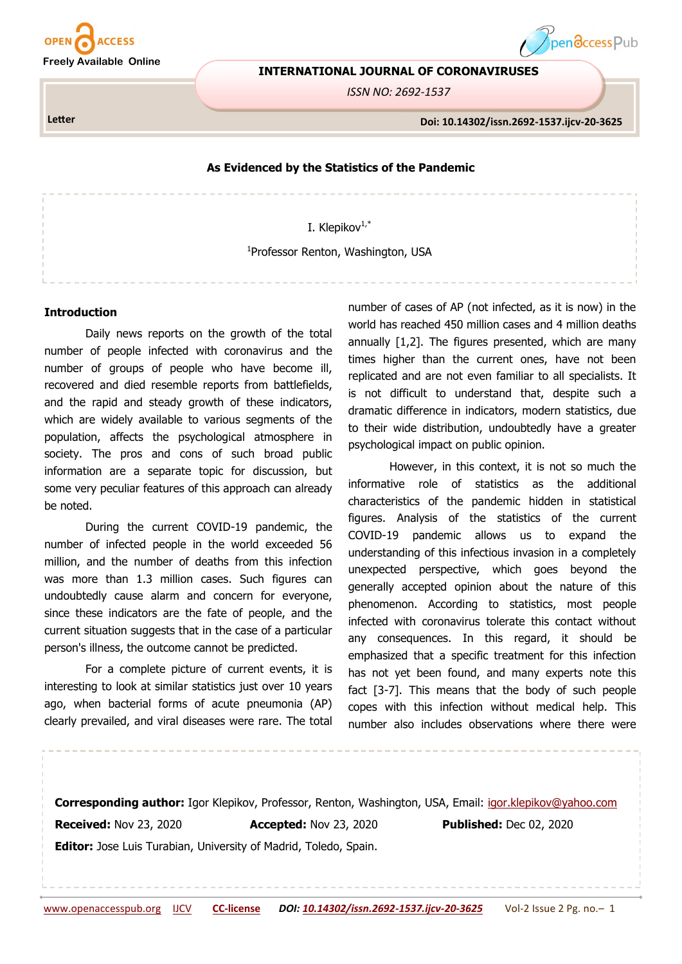

**INTERNATIONAL JOURNAL OF CORONAVIRUSES**

*ISSN NO: 2692-1537*

**Letter** 



pendccess Pub

#### **As Evidenced by the Statistics of the Pandemic**

I. Klepikov<sup>1,\*</sup>

1 Professor Renton, Washington, USA

#### **Introduction**

Daily news reports on the growth of the total number of people infected with coronavirus and the number of groups of people who have become ill, recovered and died resemble reports from battlefields, and the rapid and steady growth of these indicators, which are widely available to various segments of the population, affects the psychological atmosphere in society. The pros and cons of such broad public information are a separate topic for discussion, but some very peculiar features of this approach can already be noted.

During the current COVID-19 pandemic, the number of infected people in the world exceeded 56 million, and the number of deaths from this infection was more than 1.3 million cases. Such figures can undoubtedly cause alarm and concern for everyone, since these indicators are the fate of people, and the current situation suggests that in the case of a particular person's illness, the outcome cannot be predicted.

For a complete picture of current events, it is interesting to look at similar statistics just over 10 years ago, when bacterial forms of acute pneumonia (AP) clearly prevailed, and viral diseases were rare. The total number of cases of AP (not infected, as it is now) in the world has reached 450 million cases and 4 million deaths annually [1,2]. The figures presented, which are many times higher than the current ones, have not been replicated and are not even familiar to all specialists. It is not difficult to understand that, despite such a dramatic difference in indicators, modern statistics, due to their wide distribution, undoubtedly have a greater psychological impact on public opinion.

However, in this context, it is not so much the informative role of statistics as the additional characteristics of the pandemic hidden in statistical figures. Analysis of the statistics of the current COVID-19 pandemic allows us to expand the understanding of this infectious invasion in a completely unexpected perspective, which goes beyond the generally accepted opinion about the nature of this phenomenon. According to statistics, most people infected with coronavirus tolerate this contact without any consequences. In this regard, it should be emphasized that a specific treatment for this infection has not yet been found, and many experts note this fact [3-7]. This means that the body of such people copes with this infection without medical help. This number also includes observations where there were

**Corresponding author:** Igor Klepikov, Professor, Renton, Washington, USA, Email: [igor.klepikov@yahoo.com](mailto:igor.klepikov@yahoo.com) **Received:** Nov 23, 2020 **Accepted:** Nov 23, 2020 **Published:** Dec 02, 2020 **Editor:** Jose Luis Turabian, University of Madrid, Toledo, Spain.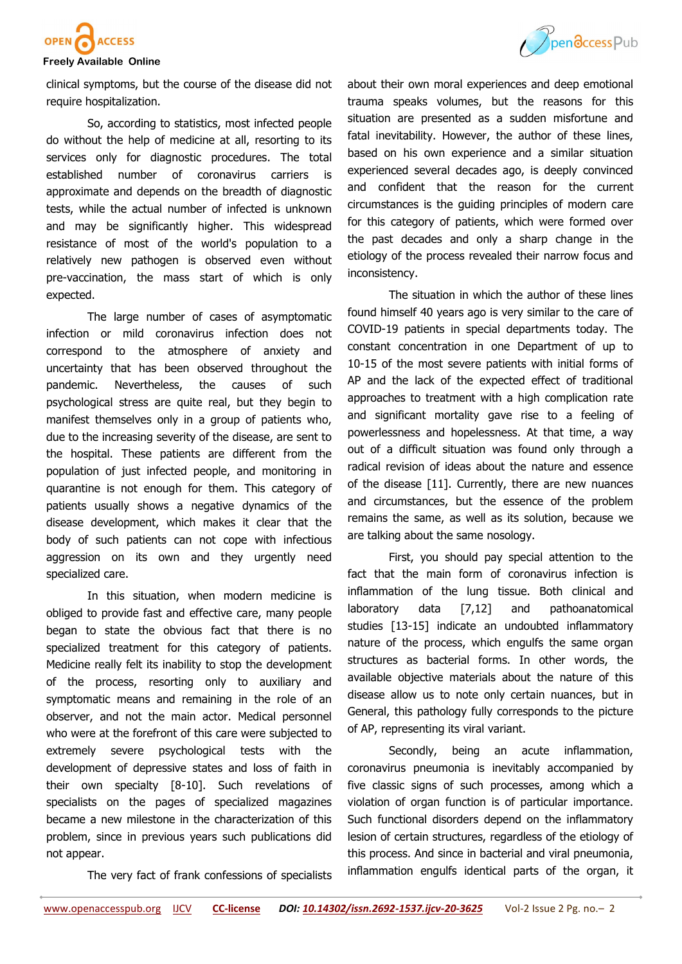

clinical symptoms, but the course of the disease did not require hospitalization.

So, according to statistics, most infected people do without the help of medicine at all, resorting to its services only for diagnostic procedures. The total established number of coronavirus carriers is approximate and depends on the breadth of diagnostic tests, while the actual number of infected is unknown and may be significantly higher. This widespread resistance of most of the world's population to a relatively new pathogen is observed even without pre-vaccination, the mass start of which is only expected.

The large number of cases of asymptomatic infection or mild coronavirus infection does not correspond to the atmosphere of anxiety and uncertainty that has been observed throughout the pandemic. Nevertheless, the causes of such psychological stress are quite real, but they begin to manifest themselves only in a group of patients who, due to the increasing severity of the disease, are sent to the hospital. These patients are different from the population of just infected people, and monitoring in quarantine is not enough for them. This category of patients usually shows a negative dynamics of the disease development, which makes it clear that the body of such patients can not cope with infectious aggression on its own and they urgently need specialized care.

In this situation, when modern medicine is obliged to provide fast and effective care, many people began to state the obvious fact that there is no specialized treatment for this category of patients. Medicine really felt its inability to stop the development of the process, resorting only to auxiliary and symptomatic means and remaining in the role of an observer, and not the main actor. Medical personnel who were at the forefront of this care were subjected to extremely severe psychological tests with the development of depressive states and loss of faith in their own specialty [8-10]. Such revelations of specialists on the pages of specialized magazines became a new milestone in the characterization of this problem, since in previous years such publications did not appear.

The very fact of frank confessions of specialists



about their own moral experiences and deep emotional trauma speaks volumes, but the reasons for this situation are presented as a sudden misfortune and fatal inevitability. However, the author of these lines, based on his own experience and a similar situation experienced several decades ago, is deeply convinced and confident that the reason for the current circumstances is the guiding principles of modern care for this category of patients, which were formed over the past decades and only a sharp change in the etiology of the process revealed their narrow focus and inconsistency.

The situation in which the author of these lines found himself 40 years ago is very similar to the care of COVID-19 patients in special departments today. The constant concentration in one Department of up to 10-15 of the most severe patients with initial forms of AP and the lack of the expected effect of traditional approaches to treatment with a high complication rate and significant mortality gave rise to a feeling of powerlessness and hopelessness. At that time, a way out of a difficult situation was found only through a radical revision of ideas about the nature and essence of the disease [11]. Currently, there are new nuances and circumstances, but the essence of the problem remains the same, as well as its solution, because we are talking about the same nosology.

First, you should pay special attention to the fact that the main form of coronavirus infection is inflammation of the lung tissue. Both clinical and laboratory data [7,12] and pathoanatomical studies [13-15] indicate an undoubted inflammatory nature of the process, which engulfs the same organ structures as bacterial forms. In other words, the available objective materials about the nature of this disease allow us to note only certain nuances, but in General, this pathology fully corresponds to the picture of AP, representing its viral variant.

Secondly, being an acute inflammation, coronavirus pneumonia is inevitably accompanied by five classic signs of such processes, among which a violation of organ function is of particular importance. Such functional disorders depend on the inflammatory lesion of certain structures, regardless of the etiology of this process. And since in bacterial and viral pneumonia, inflammation engulfs identical parts of the organ, it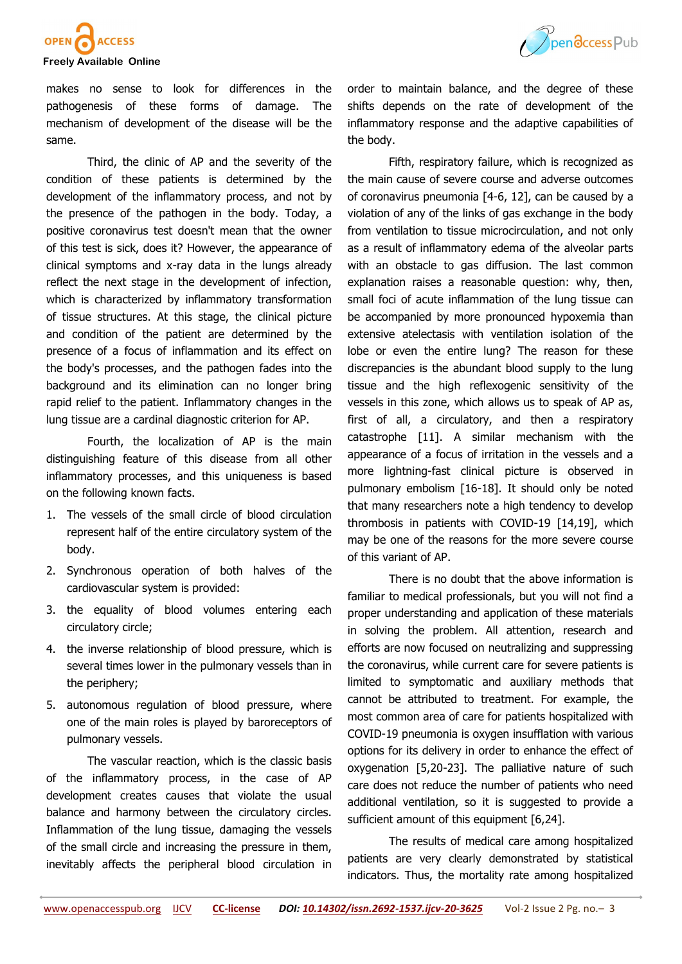

makes no sense to look for differences in the pathogenesis of these forms of damage. The mechanism of development of the disease will be the same.

Third, the clinic of AP and the severity of the condition of these patients is determined by the development of the inflammatory process, and not by the presence of the pathogen in the body. Today, a positive coronavirus test doesn't mean that the owner of this test is sick, does it? However, the appearance of clinical symptoms and x-ray data in the lungs already reflect the next stage in the development of infection, which is characterized by inflammatory transformation of tissue structures. At this stage, the clinical picture and condition of the patient are determined by the presence of a focus of inflammation and its effect on the body's processes, and the pathogen fades into the background and its elimination can no longer bring rapid relief to the patient. Inflammatory changes in the lung tissue are a cardinal diagnostic criterion for AP.

Fourth, the localization of AP is the main distinguishing feature of this disease from all other inflammatory processes, and this uniqueness is based on the following known facts.

- 1. The vessels of the small circle of blood circulation represent half of the entire circulatory system of the body.
- 2. Synchronous operation of both halves of the cardiovascular system is provided:
- 3. the equality of blood volumes entering each circulatory circle;
- 4. the inverse relationship of blood pressure, which is several times lower in the pulmonary vessels than in the periphery;
- 5. autonomous regulation of blood pressure, where one of the main roles is played by baroreceptors of pulmonary vessels.

Тhe vascular reaction, which is the classic basis of the inflammatory process, in the case of AP development creates causes that violate the usual balance and harmony between the circulatory circles. Inflammation of the lung tissue, damaging the vessels of the small circle and increasing the pressure in them, inevitably affects the peripheral blood circulation in



Fifth, respiratory failure, which is recognized as the main cause of severe course and adverse outcomes of coronavirus pneumonia [4-6, 12], can be caused by a violation of any of the links of gas exchange in the body from ventilation to tissue microcirculation, and not only as a result of inflammatory edema of the alveolar parts with an obstacle to gas diffusion. The last common explanation raises a reasonable question: why, then, small foci of acute inflammation of the lung tissue can be accompanied by more pronounced hypoxemia than extensive atelectasis with ventilation isolation of the lobe or even the entire lung? The reason for these discrepancies is the abundant blood supply to the lung tissue and the high reflexogenic sensitivity of the vessels in this zone, which allows us to speak of AP as, first of all, a circulatory, and then a respiratory catastrophe [11]. A similar mechanism with the appearance of a focus of irritation in the vessels and a more lightning-fast clinical picture is observed in pulmonary embolism [16-18]. It should only be noted that many researchers note a high tendency to develop thrombosis in patients with COVID-19 [14,19], which may be one of the reasons for the more severe course of this variant of AP.

There is no doubt that the above information is familiar to medical professionals, but you will not find a proper understanding and application of these materials in solving the problem. All attention, research and efforts are now focused on neutralizing and suppressing the coronavirus, while current care for severe patients is limited to symptomatic and auxiliary methods that cannot be attributed to treatment. For example, the most common area of care for patients hospitalized with COVID-19 pneumonia is oxygen insufflation with various options for its delivery in order to enhance the effect of oxygenation [5,20-23]. The palliative nature of such care does not reduce the number of patients who need additional ventilation, so it is suggested to provide a sufficient amount of this equipment [6,24].

The results of medical care among hospitalized patients are very clearly demonstrated by statistical indicators. Thus, the mortality rate among hospitalized



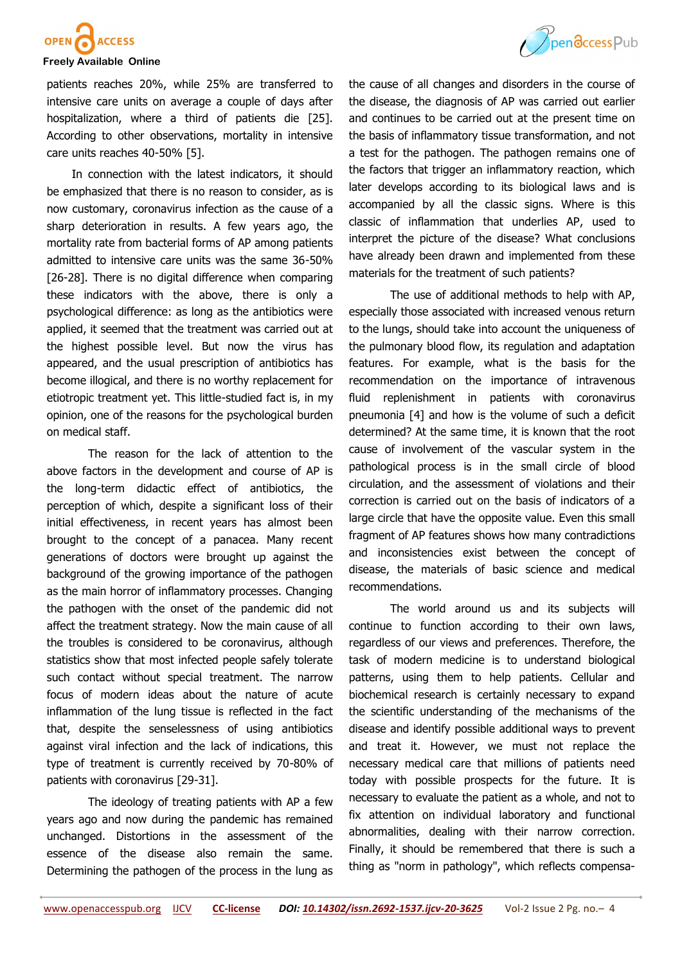

patients reaches 20%, while 25% are transferred to intensive care units on average a couple of days after hospitalization, where a third of patients die [25]. According to other observations, mortality in intensive care units reaches 40-50% [5].

 In connection with the latest indicators, it should be emphasized that there is no reason to consider, as is now customary, coronavirus infection as the cause of a sharp deterioration in results. A few years ago, the mortality rate from bacterial forms of AP among patients admitted to intensive care units was the same 36-50% [26-28]. There is no digital difference when comparing these indicators with the above, there is only a psychological difference: as long as the antibiotics were applied, it seemed that the treatment was carried out at the highest possible level. But now the virus has appeared, and the usual prescription of antibiotics has become illogical, and there is no worthy replacement for etiotropic treatment yet. This little-studied fact is, in my opinion, one of the reasons for the psychological burden on medical staff.

The reason for the lack of attention to the above factors in the development and course of AP is the long-term didactic effect of antibiotics, the perception of which, despite a significant loss of their initial effectiveness, in recent years has almost been brought to the concept of a panacea. Many recent generations of doctors were brought up against the background of the growing importance of the pathogen as the main horror of inflammatory processes. Changing the pathogen with the onset of the pandemic did not affect the treatment strategy. Now the main cause of all the troubles is considered to be coronavirus, although statistics show that most infected people safely tolerate such contact without special treatment. The narrow focus of modern ideas about the nature of acute inflammation of the lung tissue is reflected in the fact that, despite the senselessness of using antibiotics against viral infection and the lack of indications, this type of treatment is currently received by 70-80% of patients with coronavirus [29-31].

The ideology of treating patients with AP a few years ago and now during the pandemic has remained unchanged. Distortions in the assessment of the essence of the disease also remain the same. Determining the pathogen of the process in the lung as



The use of additional methods to help with AP, especially those associated with increased venous return to the lungs, should take into account the uniqueness of the pulmonary blood flow, its regulation and adaptation features. For example, what is the basis for the recommendation on the importance of intravenous fluid replenishment in patients with coronavirus pneumonia [4] and how is the volume of such a deficit determined? At the same time, it is known that the root cause of involvement of the vascular system in the pathological process is in the small circle of blood circulation, and the assessment of violations and their correction is carried out on the basis of indicators of a large circle that have the opposite value. Even this small fragment of AP features shows how many contradictions and inconsistencies exist between the concept of disease, the materials of basic science and medical recommendations.

The world around us and its subjects will continue to function according to their own laws, regardless of our views and preferences. Therefore, the task of modern medicine is to understand biological patterns, using them to help patients. Cellular and biochemical research is certainly necessary to expand the scientific understanding of the mechanisms of the disease and identify possible additional ways to prevent and treat it. However, we must not replace the necessary medical care that millions of patients need today with possible prospects for the future. It is necessary to evaluate the patient as a whole, and not to fix attention on individual laboratory and functional abnormalities, dealing with their narrow correction. Finally, it should be remembered that there is such a thing as "norm in pathology", which reflects compensa-

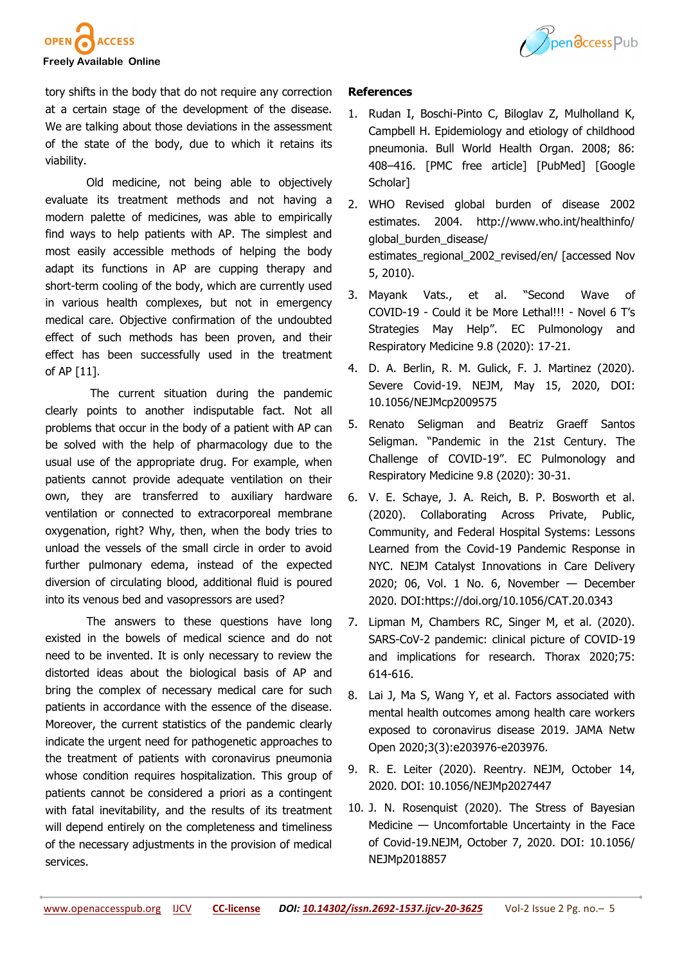

tory shifts in the body that do not require any correction at a certain stage of the development of the disease. We are talking about those deviations in the assessment of the state of the body, due to which it retains its viability.

Old medicine, not being able to objectively evaluate its treatment methods and not having a modern palette of medicines, was able to empirically find ways to help patients with AP. The simplest and most easily accessible methods of helping the body adapt its functions in AP are cupping therapy and short-term cooling of the body, which are currently used in various health complexes, but not in emergency medical care. Objective confirmation of the undoubted effect of such methods has been proven, and their effect has been successfully used in the treatment of AP [11].

The current situation during the pandemic clearly points to another indisputable fact. Not all problems that occur in the body of a patient with AP can be solved with the help of pharmacology due to the usual use of the appropriate drug. For example, when patients cannot provide adequate ventilation on their own, they are transferred to auxiliary hardware ventilation or connected to extracorporeal membrane oxygenation, right? Why, then, when the body tries to unload the vessels of the small circle in order to avoid further pulmonary edema, instead of the expected diversion of circulating blood, additional fluid is poured into its venous bed and vasopressors are used?

The answers to these questions have long existed in the bowels of medical science and do not need to be invented. It is only necessary to review the distorted ideas about the biological basis of AP and bring the complex of necessary medical care for such patients in accordance with the essence of the disease. Moreover, the current statistics of the pandemic clearly indicate the urgent need for pathogenetic approaches to the treatment of patients with coronavirus pneumonia whose condition requires hospitalization. This group of patients cannot be considered a priori as a contingent with fatal inevitability, and the results of its treatment will depend entirely on the completeness and timeliness of the necessary adjustments in the provision of medical services.

## **References**

- 1. Rudan I, Boschi-Pinto C, Biloglav Z, Mulholland K, Campbell H. Epidemiology and etiology of childhood pneumonia. Bull World Health Organ. 2008; 86: 408–416. [PMC free article] [PubMed] [Google Scholar]
- 2. WHO Revised global burden of disease 2002 estimates. 2004. http://www.who.int/healthinfo/ global\_burden\_disease/ estimates\_regional\_2002\_revised/en/ [accessed Nov 5, 2010).
- 3. Mayank Vats., et al. "Second Wave of COVID-19 - Could it be More Lethal!!! - Novel 6 T's Strategies May Help". EC Pulmonology and Respiratory Medicine 9.8 (2020): 17-21.
- 4. D. A. Berlin, R. M. Gulick, F. J. Martinez (2020). Severe Covid-19. NEJM, May 15, 2020, DOI: 10.1056/NEJMcp2009575
- 5. Renato Seligman and Beatriz Graeff Santos Seligman. "Pandemic in the 21st Century. The Challenge of COVID-19". EC Pulmonology and Respiratory Medicine 9.8 (2020): 30-31.
- 6. V. E. Schaye, J. A. Reich, B. P. Bosworth et al. (2020). Collaborating Across Private, Public, Community, and Federal Hospital Systems: Lessons Learned from the Covid-19 Pandemic Response in NYC. NEJM Catalyst Innovations in Care Delivery 2020; 06, Vol. 1 No. 6, November — December 2020. DOI:https://doi.org/10.1056/CAT.20.0343
- 7. Lipman M, Chambers RC, Singer M, et al. (2020). SARS-CoV-2 pandemic: clinical picture of COVID-19 and implications for research. Thorax 2020;75: 614-616.
- 8. Lai J, Ma S, Wang Y, et al. Factors associated with mental health outcomes among health care workers exposed to coronavirus disease 2019. JAMA Netw Open 2020;3(3):e203976-e203976.
- 9. R. E. Leiter (2020). Reentry. NEJM, October 14, 2020. DOI: 10.1056/NEJMp2027447
- 10. J. N. Rosenquist (2020). The Stress of Bayesian Medicine — Uncomfortable Uncertainty in the Face of Covid-19.NEJM, October 7, 2020. DOI: 10.1056/ NEJMp2018857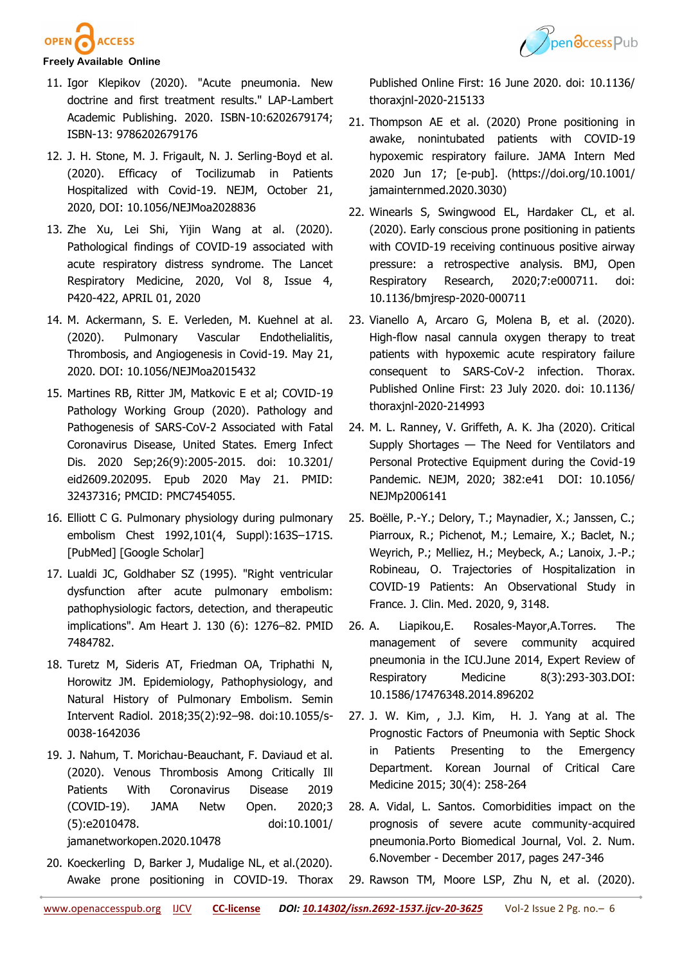



- 11. Igor Klepikov (2020). "Acute pneumonia. New doctrine and first treatment results." LAP-Lambert Academic Publishing. 2020. ISBN-10:6202679174; ISBN-13: 9786202679176
- 12. J. H. Stone, M. J. Frigault, N. J. Serling-Boyd et al. (2020). Efficacy of Tocilizumab in Patients Hospitalized with Covid-19. NEJM, October 21, 2020, DOI: 10.1056/NEJMoa2028836
- 13. Zhe Xu, Lei Shi, Yijin Wang at al. (2020). Pathological findings of COVID-19 associated with acute respiratory distress syndrome. The Lancet Respiratory Medicine, 2020, Vol 8, Issue 4, P420-422, APRIL 01, 2020
- 14. M. Ackermann, S. E. Verleden, M. Kuehnel at al. (2020). Pulmonary Vascular Endothelialitis, Thrombosis, and Angiogenesis in Covid-19. May 21, 2020. DOI: 10.1056/NEJMoa2015432
- 15. Martines RB, Ritter JM, Matkovic E et al; COVID-19 Pathology Working Group (2020). Pathology and Pathogenesis of SARS-CoV-2 Associated with Fatal Coronavirus Disease, United States. Emerg Infect Dis. 2020 Sep;26(9):2005-2015. doi: 10.3201/ eid2609.202095. Epub 2020 May 21. PMID: 32437316; PMCID: PMC7454055.
- 16. Elliott C G. Pulmonary physiology during pulmonary embolism Chest 1992,101(4, Suppl):163S–171S. [PubMed] [Google Scholar]
- 17. Lualdi JC, Goldhaber SZ (1995). "Right ventricular dysfunction after acute pulmonary embolism: pathophysiologic factors, detection, and therapeutic implications". Am Heart J. 130 (6): 1276–82. PMID 7484782.
- 18. Turetz M, Sideris AT, Friedman OA, Triphathi N, Horowitz JM. Epidemiology, Pathophysiology, and Natural History of Pulmonary Embolism. Semin Intervent Radiol. 2018;35(2):92–98. doi:10.1055/s-0038-1642036
- 19. J. Nahum, T. Morichau-Beauchant, F. Daviaud et al. (2020). Venous Thrombosis Among Critically Ill Patients With Coronavirus Disease 2019 (COVID-19). JAMA Netw Open. 2020;3 (5):e2010478. doi:10.1001/ jamanetworkopen.2020.10478
- 20. Koeckerling D, Barker J, Mudalige NL, et al.(2020). Awake prone positioning in COVID-19. Thorax

Published Online First: 16 June 2020. doi: 10.1136/ thoraxjnl-2020-215133

- 21. Thompson AE et al. (2020) Prone positioning in awake, nonintubated patients with COVID-19 hypoxemic respiratory failure. JAMA Intern Med 2020 Jun 17; [e-pub]. (https://doi.org/10.1001/ jamainternmed.2020.3030)
- 22. Winearls S, Swingwood EL, Hardaker CL, et al. (2020). Early conscious prone positioning in patients with COVID-19 receiving continuous positive airway pressure: a retrospective analysis. BMJ, Open Respiratory Research, 2020;7:e000711. doi: 10.1136/bmjresp-2020-000711
- 23. Vianello A, Arcaro G, Molena B, et al. (2020). High-flow nasal cannula oxygen therapy to treat patients with hypoxemic acute respiratory failure consequent to SARS-CoV-2 infection. Thorax. Published Online First: 23 July 2020. doi: 10.1136/ thoraxjnl-2020-214993
- 24. M. L. Ranney, V. Griffeth, A. K. Jha (2020). Critical Supply Shortages — The Need for Ventilators and Personal Protective Equipment during the Covid-19 Pandemic. NEJM, 2020; 382:e41 DOI: 10.1056/ NEJMp2006141
- 25. Boëlle, P.-Y.; Delory, T.; Maynadier, X.; Janssen, C.; Piarroux, R.; Pichenot, M.; Lemaire, X.; Baclet, N.; Weyrich, P.; Melliez, H.; Meybeck, A.; Lanoix, J.-P.; Robineau, O. Trajectories of Hospitalization in COVID-19 Patients: An Observational Study in France. J. Clin. Med. 2020, 9, 3148.
- 26. A. Liapikou,E. Rosales-Mayor,A.Torres. The management of severe community acquired pneumonia in the ICU.June 2014, Expert Review of Respiratory Medicine 8(3):293-303.DOI: 10.1586/17476348.2014.896202
- 27. J. W. Kim, , J.J. Kim, H. J. Yang at al. The Prognostic Factors of Pneumonia with Septic Shock in Patients Presenting to the Emergency Department. Korean Journal of Critical Care Medicine 2015; 30(4): 258-264
- 28. A. Vidal, L. Santos. Comorbidities impact on the prognosis of severe acute community-acquired pneumonia.Porto Biomedical Journal, Vol. 2. Num. 6.November - December 2017, pages 247-346
- 29. Rawson TM, Moore LSP, Zhu N, et al. (2020).